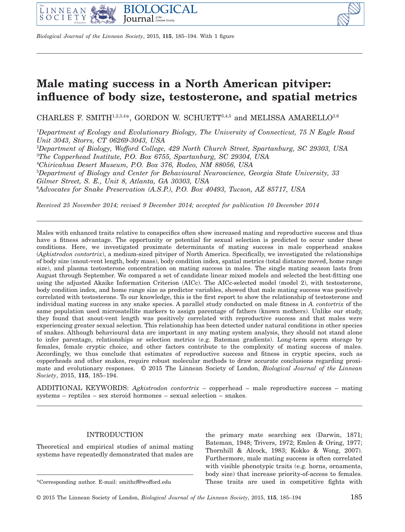



*Biological Journal of the Linnean Society*, 2015, **115**, 185–194. With 1 figure

# **Male mating success in a North American pitviper: influence of body size, testosterone, and spatial metrics**

CHARLES F. SMITH<sup>1,2,3,4\*</sup>, GORDON W. SCHUETT<sup>3,4,5</sup> and MELISSA AMARELLO<sup>3,6</sup>

1 *Department of Ecology and Evolutionary Biology, The University of Connecticut, 75 N Eagle Road Unit 3043, Storrs, CT 06269-3043, USA*

2 *Department of Biology, Wofford College, 429 North Church Street, Spartanburg, SC 29303, USA* 3 *The Copperhead Institute, P.O. Box 6755, Spartanburg, SC 29304, USA* 4 *Chiricahua Desert Museum, P.O. Box 376, Rodeo, NM 88056, USA*

5 *Department of Biology and Center for Behavioural Neuroscience, Georgia State University, 33 Gilmer Street, S. E., Unit 8, Atlanta, GA 30303, USA*

6 *Advocates for Snake Preservation (A.S.P.), P.O. Box 40493, Tucson, AZ 85717, USA*

*Received 25 November 2014; revised 9 December 2014; accepted for publication 10 December 2014*

Males with enhanced traits relative to conspecifics often show increased mating and reproductive success and thus have a fitness advantage. The opportunity or potential for sexual selection is predicted to occur under these conditions. Here, we investigated proximate determinants of mating success in male copperhead snakes (*Agkistrodon contortrix*), a medium-sized pitviper of North America. Specifically, we investigated the relationships of body size (snout-vent length, body mass), body condition index, spatial metrics (total distance moved, home range size), and plasma testosterone concentration on mating success in males. The single mating season lasts from August through September. We compared a set of candidate linear mixed models and selected the best-fitting one using the adjusted Akaike Information Criterion (AICc). The AICc-selected model (model 2), with testosterone, body condition index, and home range size as predictor variables, showed that male mating success was positively correlated with testosterone. To our knowledge, this is the first report to show the relationship of testosterone and individual mating success in any snake species. A parallel study conducted on male fitness in *A. contortrix* of the same population used microsatellite markers to assign parentage of fathers (known mothers). Unlike our study, they found that snout-vent length was positively correlated with reproductive success and that males were experiencing greater sexual selection. This relationship has been detected under natural conditions in other species of snakes. Although behavioural data are important in any mating system analysis, they should not stand alone to infer parentage, relationships or selection metrics (e.g. Bateman gradients). Long-term sperm storage by females, female cryptic choice, and other factors contribute to the complexity of mating success of males. Accordingly, we thus conclude that estimates of reproductive success and fitness in cryptic species, such as copperheads and other snakes, require robust molecular methods to draw accurate conclusions regarding proximate and evolutionary responses. © 2015 The Linnean Society of London, *Biological Journal of the Linnean Society*, 2015, **115**, 185–194.

ADDITIONAL KEYWORDS: *Agkistrodon contortrix* – copperhead – male reproductive success – mating systems – reptiles – sex steroid hormones – sexual selection – snakes.

# INTRODUCTION

Theoretical and empirical studies of animal mating systems have repeatedly demonstrated that males are

the primary mate searching sex (Darwin, 1871; Bateman, 1948; Trivers, 1972; Emlen & Oring, 1977; Thornhill & Alcock, 1983; Kokko & Wong, 2007). Furthermore, male mating success is often correlated with visible phenotypic traits (e.g. horns, ornaments, body size) that increase priority-of-access to females. \*Corresponding author. E-mail: [smithcf@wofford.edu](mailto:smithcf@wofford.edu) These traits are used in competitive fights with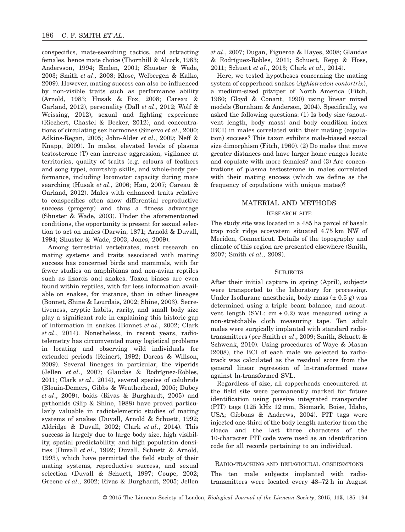conspecifics, mate-searching tactics, and attracting females, hence mate choice (Thornhill & Alcock, 1983; Andersson, 1994; Emlen, 2001; Shuster & Wade, 2003; Smith *et al*.*,* 2008; Klose, Welbergen & Kalko, 2009). However, mating success can also be influenced by non-visible traits such as performance ability (Arnold, 1983; Husak & Fox, 2008; Careau & Garland, 2012), personality (Dall *et al*., 2012; Wolf & Weissing, 2012), sexual and fighting experience (Riechert, Chastel & Becker, 2012), and concentrations of circulating sex hormones (Sinervo *et al*., 2000; Adkins-Regan, 2005; John-Alder *et al*., 2009; Neff & Knapp, 2009). In males, elevated levels of plasma testosterone (T) can increase aggression, vigilance at territories, quality of traits (e.g. colours of feathers and song type), courtship skills, and whole-body performance, including locomotor capacity during mate searching (Husak *et al*., 2006; Hau, 2007; Careau & Garland, 2012). Males with enhanced traits relative to conspecifics often show differential reproductive success (progeny) and thus a fitness advantage (Shuster & Wade, 2003). Under the aforementioned conditions, the opportunity is present for sexual selection to act on males (Darwin, 1871; Arnold & Duvall, 1994; Shuster & Wade, 2003; Jones, 2009).

Among terrestrial vertebrates, most research on mating systems and traits associated with mating success has concerned birds and mammals, with far fewer studies on amphibians and non-avian reptiles such as lizards and snakes. Taxon biases are even found within reptiles, with far less information available on snakes, for instance, than in other lineages (Bonnet, Shine & Lourdais, 2002; Shine, 2003). Secretiveness, cryptic habits, rarity, and small body size play a significant role in explaining this historic gap of information in snakes (Bonnet *et al*., 2002; Clark *et al*., 2014). Nonetheless, in recent years, radiotelemetry has circumvented many logistical problems in locating and observing wild individuals for extended periods (Reinert, 1992; Dorcas & Willson, 2009). Several lineages in particular, the viperids (Jellen *et al*., 2007; Glaudas & Rodríguez-Robles, 2011; Clark *et al*., 2014), several species of colubrids (Blouin-Demers, Gibbs & Weatherhead, 2005; Dubey *et al*., 2009), boids (Rivas & Burghardt, 2005) and pythonids (Slip & Shine, 1988) have proved particularly valuable in radiotelemetric studies of mating systems of snakes (Duvall, Arnold & Schuett, 1992; Aldridge & Duvall, 2002; Clark *et al*., 2014). This success is largely due to large body size, high visibility, spatial predictability, and high population densities (Duvall *et al*., 1992; Duvall, Schuett & Arnold, 1993), which have permitted the field study of their mating systems, reproductive success, and sexual selection (Duvall & Schuett, 1997; Coupe, 2002; Greene *et al*., 2002; Rivas & Burghardt, 2005; Jellen

*et al*., 2007; Dugan, Figueroa & Hayes, 2008; Glaudas & Rodríguez-Robles, 2011; Schuett, Repp & Hoss, 2011; Schuett *et al*., 2013; Clark *et al*., 2014).

Here, we tested hypotheses concerning the mating system of copperhead snakes (*Agkistrodon contortrix*), a medium-sized pitviper of North America (Fitch, 1960; Gloyd & Conant, 1990) using linear mixed models (Burnham & Anderson, 2004). Specifically, we asked the following questions: (1) Is body size (snoutvent length, body mass) and body condition index (BCI) in males correlated with their mating (copulation) success? This taxon exhibits male-biased sexual size dimorphism (Fitch, 1960). (2) Do males that move greater distances and have larger home ranges locate and copulate with more females? and (3) Are concentrations of plasma testosterone in males correlated with their mating success (which we define as the frequency of copulations with unique mates)?

# MATERIAL AND METHODS RESEARCH SITE

The study site was located in a 485 ha parcel of basalt trap rock ridge ecosystem situated 4.75 km NW of Meriden, Connecticut. Details of the topography and climate of this region are presented elsewhere (Smith, 2007; Smith *et al*., 2009).

# **SUBJECTS**

After their initial capture in spring (April), subjects were transported to the laboratory for processing. Under Isoflurane anesthesia, body mass  $(\pm 0.5 \text{ g})$  was determined using a triple beam balance, and snoutvent length (SVL:  $cm \pm 0.2$ ) was measured using a non-stretchable cloth measuring tape. Ten adult males were surgically implanted with standard radiotransmitters (per Smith *et al*., 2009; Smith, Schuett & Schwenk, 2010). Using procedures of Waye & Mason (2008), the BCI of each male we selected to radiotrack was calculated as the residual score from the general linear regression of ln-transformed mass against ln-transformed SVL.

Regardless of size, all copperheads encountered at the field site were permanently marked for future identification using passive integrated transponder (PIT) tags (125 kHz 12 mm, Biomark, Boise, Idaho, USA; Gibbons & Andrews, 2004). PIT tags were injected one-third of the body length anterior from the cloaca and the last three characters of the 10-character PIT code were used as an identification code for all records pertaining to an individual.

# RADIO-TRACKING AND BEHAVIOURAL OBSERVATIONS

The ten male subjects implanted with radiotransmitters were located every 48–72 h in August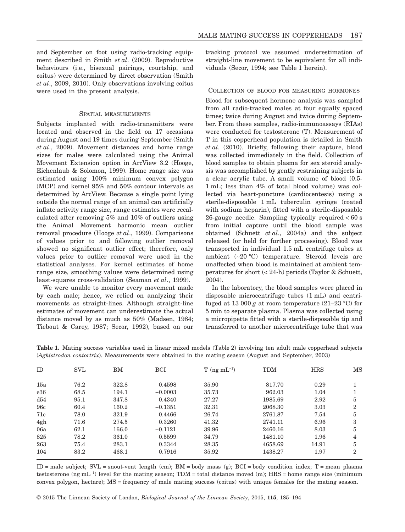# SPATIAL MEASUREMENTS

Subjects implanted with radio-transmitters were located and observed in the field on 17 occasions during August and 19 times during September (Smith *et al*., 2009). Movement distances and home range sizes for males were calculated using the Animal Movement Extension option in ArcView 3.2 (Hooge, Eichenlaub & Solomon, 1999). Home range size was estimated using 100% minimum convex polygon (MCP) and kernel 95% and 50% contour intervals as determined by ArcView. Because a single point lying outside the normal range of an animal can artificially inflate activity range size, range estimates were recalculated after removing 5% and 10% of outliers using the Animal Movement harmonic mean outlier removal procedure (Hooge *et al*., 1999). Comparisons of values prior to and following outlier removal showed no significant outlier effect; therefore, only values prior to outlier removal were used in the statistical analyses. For kernel estimates of home range size, smoothing values were determined using least-squares cross-validation (Seaman *et al*., 1999).

We were unable to monitor every movement made by each male; hence, we relied on analyzing their movements as straight-lines. Although straight-line estimates of movement can underestimate the actual distance moved by as much as 50% (Madsen, 1984; Tiebout & Carey, 1987; Secor, 1992), based on our tracking protocol we assumed underestimation of straight-line movement to be equivalent for all individuals (Secor, 1994; see Table 1 herein).

# COLLECTION OF BLOOD FOR MEASURING HORMONES

Blood for subsequent hormone analysis was sampled from all radio-tracked males at four equally spaced times; twice during August and twice during September. From these samples, radio-immunoassays (RIAs) were conducted for testosterone (T). Measurement of T in this copperhead population is detailed in Smith *et al*. (2010). Briefly, following their capture, blood was collected immediately in the field. Collection of blood samples to obtain plasma for sex steroid analysis was accomplished by gently restraining subjects in a clear acrylic tube. A small volume of blood (0.5- 1 mL; less than 4% of total blood volume) was collected via heart-puncture (cardiocentesis) using a sterile-disposable 1 mL tuberculin syringe (coated with sodium heparin), fitted with a sterile-disposable 26-gauge needle. Sampling typically required < 60 s from initial capture until the blood sample was obtained (Schuett *et al*., 2004a) and the subject released (or held for further processing). Blood was transported in individual 1.5 mL centrifuge tubes at ambient (∼20 °C) temperature. Steroid levels are unaffected when blood is maintained at ambient temperatures for short (< 24-h) periods (Taylor & Schuett, 2004).

In the laboratory, the blood samples were placed in disposable microcentrifuge tubes (1 mL) and centrifuged at 13 000  $g$  at room temperature (21–23 °C) for 5 min to separate plasma. Plasma was collected using a micropipette fitted with a sterile-disposable tip and transferred to another microcentrifuge tube that was

| ID  | <b>SVL</b> | BМ    | <b>BCI</b> | $T$ (ng mL <sup>-1</sup> ) | <b>TDM</b> | <b>HRS</b> | MS             |
|-----|------------|-------|------------|----------------------------|------------|------------|----------------|
| 15a | 76.2       | 322.8 | 0.4598     | 35.90                      | 817.70     | 0.29       |                |
| e36 | 68.5       | 194.1 | $-0.0003$  | 35.73                      | 962.03     | 1.04       |                |
| d54 | 95.1       | 347.8 | 0.4340     | 27.27                      | 1985.69    | 2.92       | 5              |
| 96c | 60.4       | 160.2 | $-0.1351$  | 32.31                      | 2068.30    | 3.03       | $\overline{2}$ |
| 71c | 78.0       | 321.9 | 0.4466     | 26.74                      | 2761.87    | 7.54       | 5              |
| 4gh | 71.6       | 274.5 | 0.3260     | 41.32                      | 2741.11    | 6.96       | 3              |
| 06a | 62.1       | 166.0 | $-0.1121$  | 39.96                      | 2460.16    | 8.03       | 5              |
| 825 | 78.2       | 361.0 | 0.5599     | 34.79                      | 1481.10    | 1.96       | 4              |
| 263 | 75.4       | 283.1 | 0.3344     | 28.35                      | 4658.69    | 14.91      | 5              |
| 104 | 83.2       | 468.1 | 0.7916     | 35.92                      | 1438.27    | 1.97       | $\overline{2}$ |

**Table 1.** Mating success variables used in linear mixed models (Table 2) involving ten adult male copperhead subjects (*Agkistrodon contortrix*). Measurements were obtained in the mating season (August and September, 2003)

ID = male subject; SVL = snout-vent length (cm); BM = body mass (g); BCI = body condition index;  $T$  = mean plasma testosterone (ng mL<sup>-1</sup>) level for the mating season; TDM = total distance moved (m); HRS = home range size (minimum convex polygon, hectare); MS = frequency of male mating success (coitus) with unique females for the mating season.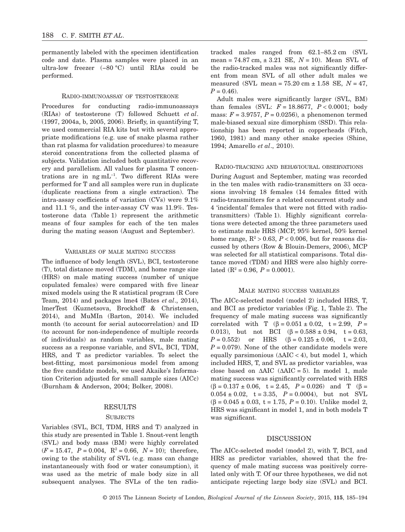permanently labeled with the specimen identification code and date. Plasma samples were placed in an ultra-low freezer (−80 °C) until RIAs could be performed.

#### RADIO-IMMUNOASSAY OF TESTOSTERONE

Procedures for conducting radio-immunoassays (RIAs) of testosterone (T) followed Schuett *et al*. (1997, 2004a, b, 2005, 2006). Briefly, in quantifying T, we used commercial RIA kits but with several appropriate modifications (e.g. use of snake plasma rather than rat plasma for validation procedures) to measure steroid concentrations from the collected plasma of subjects. Validation included both quantitative recovery and parallelism. All values for plasma T concentrations are in ng mL−1. Two different RIAs were performed for T and all samples were run in duplicate (duplicate reactions from a single extraction). The intra-assay coefficients of variation (CVs) were 9.1% and 11.1 %, and the inter-assay CV was 11.9%. Testosterone data (Table 1) represent the arithmetic means of four samples for each of the ten males during the mating season (August and September).

# VARIABLES OF MALE MATING SUCCESS

The influence of body length (SVL), BCI, testosterone (T), total distance moved (TDM), and home range size (HRS) on male mating success (number of unique copulated females) were compared with five linear mixed models using the R statistical program (R Core Team, 2014) and packages lme4 (Bates *et al*., 2014), lmerTest (Kuznetsova, Brockhoff & Christensen, 2014), and MuMIn (Barton, 2014). We included month (to account for serial autocorrelation) and ID (to account for non-independence of multiple records of individuals) as random variables, male mating success as a response variable, and SVL, BCI, TDM, HRS, and T as predictor variables. To select the best-fitting, most parsimonious model from among the five candidate models, we used Akaike's Information Criterion adjusted for small sample sizes (AICc) (Burnham & Anderson, 2004; Bolker, 2008).

#### RESULTS

# **SUBJECTS**

Variables (SVL, BCI, TDM, HRS and T) analyzed in this study are presented in Table 1. Snout-vent length (SVL) and body mass (BM) were highly correlated  $(F = 15.47, P = 0.004, R^2 = 0.66, N = 10)$ ; therefore, owing to the stability of SVL (e.g. mass can change instantaneously with food or water consumption), it was used as the metric of male body size in all subsequent analyses. The SVLs of the ten radiotracked males ranged from 62.1–85.2 cm (SVL mean = 74.87 cm, ± 3.21 SE, *N* = 10). Mean SVL of the radio-tracked males was not significantly different from mean SVL of all other adult males we measured (SVL mean =  $75.20 \text{ cm} \pm 1.58 \text{ SE}$ ,  $N = 47$ ,  $P = 0.46$ .

Adult males were significantly larger (SVL, BM) than females (SVL:  $F = 18.8677$ ,  $P < 0.0001$ ; body mass:  $F = 3.9757$ ,  $P = 0.0256$ ), a phenomenon termed male-biased sexual size dimorphism (SSD). This relationship has been reported in copperheads (Fitch, 1960, 1981) and many other snake species (Shine, 1994; Amarello *et al*., 2010).

#### RADIO-TRACKING AND BEHAVIOURAL OBSERVATIONS

During August and September, mating was recorded in the ten males with radio-transmitters on 33 occasions involving 18 females (14 females fitted with radio-transmitters for a related concurrent study and 4 'incidental' females that were not fitted with radiotransmitters) (Table 1). Highly significant correlations were detected among the three parameters used to estimate male HRS (MCP, 95% kernel, 50% kernel home range,  $R^2 > 0.63$ ,  $P < 0.006$ , but for reasons discussed by others (Row & Blouin-Demers, 2006), MCP was selected for all statistical comparisons. Total distance moved (TDM) and HRS were also highly correlated  $(R^2 = 0.96, P = 0.0001)$ .

#### MALE MATING SUCCESS VARIABLES

The AICc-selected model (model 2) included HRS, T, and BCI as predictor variables (Fig. 1, Table 2). The frequency of male mating success was significantly correlated with T (β =  $0.051 \pm 0.02$ , t = 2.99, P = 0.013), but not BCI  $(\beta = 0.588 \pm 0.94, t = 0.63,$  $P = 0.552$ ) or HRS ( $\beta = 0.125 \pm 0.06$ ,  $t = 2.03$ ,  $P = 0.079$ . None of the other candidate models were equally parsimonious  $(\Delta AIC < 4)$ , but model 1, which included HRS, T, and SVL as predictor variables, was close based on  $\triangle AIC$  ( $\triangle AIC = 5$ ). In model 1, male mating success was significantly correlated with HRS (β = 0.137 ± 0.06, t = 2.45, *P* = 0.026) and T (β =  $0.054 \pm 0.02$ ,  $t = 3.35$ ,  $P = 0.0004$ ), but not SVL (β = 0.045 ± 0.03, t = 1.75, *P* = 0.10). Unlike model 2, HRS was significant in model 1, and in both models T was significant.

#### DISCUSSION

The AICc-selected model (model 2), with T, BCI, and HRS as predictor variables, showed that the frequency of male mating success was positively correlated only with T. Of our three hypotheses, we did not anticipate rejecting large body size (SVL) and BCI.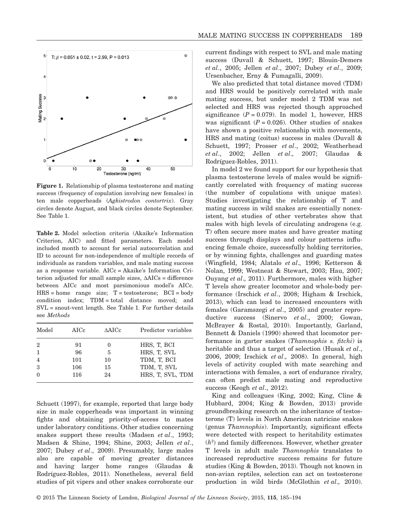

**Figure 1.** Relationship of plasma testosterone and mating success (frequency of copulation involving new females) in ten male copperheads (*Agkistrodon contortrix*). Gray circles denote August, and black circles denote September. See Table 1.

**Table 2.** Model selection criteria (Akaike's Information Criterion, AIC) and fitted parameters. Each model included month to account for serial autocorrelation and ID to account for non-independence of multiple records of individuals as random variables, and male mating success as a response variable. AICc = Akaike's Information Criterion adjusted for small sample sizes, ΔAICs = difference between AICc and most parsimonious model's AICc.  $HRS = home range size; T = testosterone; BCI = body$ condition index; TDM = total distance moved; and SVL = snout-vent length. See Table 1. For further details see *Methods*

| Model          | AICc | $\triangle AICc$ | Predictor variables |
|----------------|------|------------------|---------------------|
| $\overline{2}$ | 91   |                  | HRS, T, BCI         |
| $\mathbf{1}$   | 96   | 5                | HRS, T, SVL         |
| $\overline{4}$ | 101  | 10               | TDM, T, BCI         |
| 3              | 106  | 15               | TDM, T, SVL         |
| $\Omega$       | 116  | 24               | HRS, T. SVL, TDM    |

Schuett (1997), for example, reported that large body size in male copperheads was important in winning fights and obtaining priority-of-access to mates under laboratory conditions. Other studies concerning snakes support these results (Madsen *et al*., 1993; Madsen & Shine, 1994; Shine, 2003; Jellen *et al*., 2007; Dubey *et al*., 2009). Presumably, large males also are capable of moving greater distances and having larger home ranges (Glaudas & Rodríguez-Robles, 2011). Nonetheless, several field studies of pit vipers and other snakes corroborate our current findings with respect to SVL and male mating success (Duvall & Schuett, 1997; Blouin-Demers *et al*., 2005; Jellen *et al*., 2007; Dubey *et al*., 2009; Ursenbacher, Erny & Fumagalli, 2009).

We also predicted that total distance moved (TDM) and HRS would be positively correlated with male mating success, but under model 2 TDM was not selected and HRS was rejected though approached significance  $(P = 0.079)$ . In model 1, however, HRS was significant  $(P = 0.026)$ . Other studies of snakes have shown a positive relationship with movements, HRS and mating (coitus) success in males (Duvall & Schuett, 1997; Prosser *et al*., 2002; Weatherhead *et al*., 2002; Jellen *et al*.*,* 2007; Glaudas & Rodríguez-Robles, 2011).

In model 2 we found support for our hypothesis that plasma testosterone levels of males would be significantly correlated with frequency of mating success (the number of copulations with unique mates). Studies investigating the relationship of T and mating success in wild snakes are essentially nonexistent, but studies of other vertebrates show that males with high levels of circulating androgens (e.g. T) often secure more mates and have greater mating success through displays and colour patterns influencing female choice, successfully holding territories, or by winning fights, challenges and guarding mates (Wingfield, 1984; Alatalo *et al*.*,* 1996; Ketterson & Nolan, 1999; Westneat & Stewart, 2003; Hau, 2007; Ouyang *et al*.*,* 2011). Furthermore, males with higher T levels show greater locomotor and whole-body performance (Irschick *et al*., 2008; Higham & Irschick, 2013), which can lead to increased encounters with females (Garamszegi *et al*., 2005) and greater reproductive success (Sinervo *et al*., 2000; Gowan, McBrayer & Rostal, 2010). Importantly, Garland, Bennett & Daniels (1990) showed that locomotor performance in garter snakes (*Thamnophis s. fitchi*) is heritable and thus a target of selection (Husak *et al*., 2006, 2009; Irschick *et al*.*,* 2008). In general, high levels of activity coupled with mate searching and interactions with females, a sort of endurance rivalry, can often predict male mating and reproductive success (Keogh *et al*., 2012).

King and colleagues (King, 2002; King, Cline & Hubbard, 2004; King & Bowden, 2013) provide groundbreaking research on the inheritance of testosterone (T) levels in North American natricine snakes (genus *Thamnophis*). Importantly, significant effects were detected with respect to heritability estimates  $(h<sup>2</sup>)$  and family differences. However, whether greater T levels in adult male *Thamnophis* translates to increased reproductive success remains for future studies (King & Bowden, 2013). Though not known in non-avian reptiles, selection can act on testosterone production in wild birds (McGlothin *et al*.*,* 2010).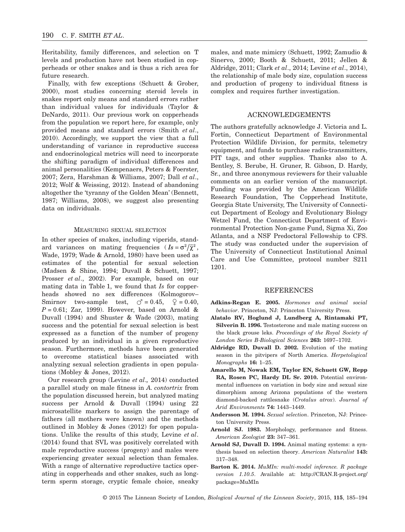Heritability, family differences, and selection on T levels and production have not been studied in copperheads or other snakes and is thus a rich area for future research.

Finally, with few exceptions (Schuett & Grober, 2000), most studies concerning steroid levels in snakes report only means and standard errors rather than individual values for individuals (Taylor & DeNardo, 2011). Our previous work on copperheads from the population we report here, for example, only provided means and standard errors (Smith *et al*., 2010). Accordingly, we support the view that a full understanding of variance in reproductive success and endocrinological metrics will need to incorporate the shifting paradigm of individual differences and animal personalities (Kempenaers, Peters & Foerster, 2007; Zera, Harshman & Williams, 2007; Dall *et al*., 2012; Wolf & Weissing, 2012). Instead of abandoning altogether the 'tyranny of the Golden Mean' (Bennett, 1987; Williams, 2008), we suggest also presenting data on individuals.

# MEASURING SEXUAL SELECTION

In other species of snakes, including viperids, standard variances on mating frequencies ( $I_s = \sigma^2/\overline{\chi}^2$ , Wade, 1979; Wade & Arnold, 1980) have been used as estimates of the potential for sexual selection (Madsen & Shine, 1994; Duvall & Schuett, 1997; Prosser *et al*., 2002). For example, based on our mating data in Table 1, we found that *Is* for copperheads showed no sex differences (Kolmogorov– Smirnov two-sample test,  $\circlearrowleft^{\neg} = 0.45$ ,  $\mathcal{Q} = 0.40,$  $P = 0.61$ ; Zar, 1999). However, based on Arnold & Duvall (1994) and Shuster & Wade (2003), mating success and the potential for sexual selection is best expressed as a function of the number of progeny produced by an individual in a given reproductive season. Furthermore, methods have been generated to overcome statistical biases associated with analyzing sexual selection gradients in open populations (Mobley & Jones, 2012).

Our research group (Levine *et al*.*,* 2014) conducted a parallel study on male fitness in *A. contortrix* from the population discussed herein, but analyzed mating success per Arnold & Duvall (1994) using 22 microsatellite markers to assign the parentage of fathers (all mothers were known) and the methods outlined in Mobley & Jones (2012) for open populations. Unlike the results of this study, Levine *et al*. (2014) found that SVL was positively correlated with male reproductive success (progeny) and males were experiencing greater sexual selection than females. With a range of alternative reproductive tactics operating in copperheads and other snakes, such as longterm sperm storage, cryptic female choice, sneaky

males, and mate mimicry (Schuett, 1992; Zamudio & Sinervo, 2000; Booth & Schuett, 2011; Jellen & Aldridge, 2011; Clark *et al*., 2014; Levine *et al*., 2014), the relationship of male body size, copulation success and production of progeny to individual fitness is complex and requires further investigation.

#### ACKNOWLEDGEMENTS

The authors gratefully acknowledge J. Victoria and L. Fortin, Connecticut Department of Environmental Protection Wildlife Division, for permits, telemetry equipment, and funds to purchase radio-transmitters, PIT tags, and other supplies. Thanks also to A. Bentley, S. Berube, H. Gruner, R. Gibson, D. Hardy, Sr., and three anonymous reviewers for their valuable comments on an earlier version of the manuscript. Funding was provided by the American Wildlife Research Foundation, The Copperhead Institute, Georgia State University, The University of Connecticut Department of Ecology and Evolutionary Biology Wetzel Fund, the Connecticut Department of Environmental Protection Non-game Fund, Sigma Xi, Zoo Atlanta, and a NSF Predoctoral Fellowship to CFS. The study was conducted under the supervision of The University of Connecticut Institutional Animal Care and Use Committee, protocol number S211 1201.

# REFERENCES

- **Adkins-Regan E. 2005.** *Hormones and animal social behavior*. Princeton, NJ: Princeton University Press.
- **Alatalo RV, Hoglund J, Lundberg A, Rintamaki PT, Silverin B. 1996.** Testosterone and male mating success on the black grouse leks. *Proceedings of the Royal Society of London Series B-Biological Sciences* **263:** 1697–1702.
- **Aldridge RD, Duvall D. 2002.** Evolution of the mating season in the pitvipers of North America. *Herpetological Monographs* **16:** 1–25.
- **Amarello M, Nowak EM, Taylor EN, Schuett GW, Repp RA, Rosen PC, Hardy DL Sr. 2010.** Potential environmental influences on variation in body size and sexual size dimorphism among Arizona populations of the western diamond-backed rattlesnake (*Crotalus atrox*). *Journal of Arid Environments* **74:** 1443–1449.
- **Andersson M. 1994.** *Sexual selection*. Princeton, NJ: Princeton University Press.
- **Arnold SJ. 1983.** Morphology, performance and fitness. *American Zoologist* **23:** 347–361.
- **Arnold SJ, Duvall D. 1994.** Animal mating systems: a synthesis based on selection theory. *American Naturalist* **143:** 317–348.
- **Barton K. 2014.** *MuMIn: multi-model inference. R package version 1.10.5*. Available at: [http://CRAN.R-project.org/](http://CRAN.R-project.org/package=MuMIn) [package=MuMIn](http://CRAN.R-project.org/package=MuMIn)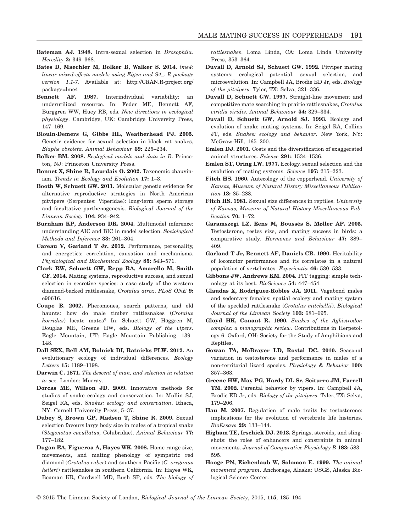- **Bateman AJ. 1948.** Intra-sexual selection in *Drosophila*. *Heredity* **2:** 349–368.
- **Bates D, Maechler M, Bolker B, Walker S. 2014.** *lme4: linear mixed-effects models using Eigen and S4\_. R package version 1.1-7*. Available at: [http://CRAN.R-project.org/](http://CRAN.R-project.org/package=lme4) [package=lme4](http://CRAN.R-project.org/package=lme4)
- **Bennett AF. 1987.** Interindividual variability: an underutilized resource. In: Feder ME, Bennett AF, Burggren WW, Huey RB, eds. *New directions in ecological physiology*. Cambridge, UK: Cambridge University Press, 147–169.
- **Blouin-Demers G, Gibbs HL, Weatherhead PJ. 2005.** Genetic evidence for sexual selection in black rat snakes, *Elaphe obsoleta*. *Animal Behaviour* **69:** 225–234.
- **Bolker BM. 2008.** *Ecological models and data in R*. Princeton, NJ: Princeton University Press.
- **Bonnet X, Shine R, Lourdais O. 2002.** Taxonomic chauvinism. *Trends in Ecology and Evolution* **17:** 1–3.
- **Booth W, Schuett GW. 2011.** Molecular genetic evidence for alternative reproductive strategies in North American pitvipers (Serpentes: Viperidae): long-term sperm storage and facultative parthenogenesis. *Biological Journal of the Linnean Society* **104:** 934–942.
- **Burnham KP, Anderson DR. 2004.** Multimodel inference: understanding AIC and BIC in model selection. *Sociological Methods and Inference* **33:** 261–304.
- **Careau V, Garland T Jr. 2012.** Performance, personality, and energetics: correlation, causation and mechanisms. *Physiological and Biochemical Zoology* **85:** 543–571.
- **Clark RW, Schuett GW, Repp RA, Amarello M, Smith CF. 2014.** Mating systems, reproductive success, and sexual selection in secretive species: a case study of the western diamond-backed rattlesnake, *Crotalus atrox*. *PLoS ONE* **9:** e90616.
- **Coupe B. 2002.** Pheromones, search patterns, and old haunts: how do male timber rattlesnakes (*Crotalus horridus*) locate mates? In: Schuett GW, Höggren M, Douglas ME, Greene HW, eds. *Biology of the vipers*. Eagle Mountain, UT: Eagle Mountain Publishing, 139– 148.
- **Dall SRX, Bell AM, Bolnick DI, Ratnieks FLW. 2012.** An evolutionary ecology of individual differences. *Ecology Letters* **15:** 1189–1198.
- **Darwin C. 1871.** *The descent of man, and selection in relation to sex*. London: Murray.
- **Dorcas ME, Willson JD. 2009.** Innovative methods for studies of snake ecology and conservation. In: Mullin SJ, Seigel RA, eds. *Snakes: ecology and conservation*. Ithaca, NY: Cornell University Press, 5–37.
- **Dubey S, Brown GP, Madsen T, Shine R. 2009.** Sexual selection favours large body size in males of a tropical snake (*Stegonotus cucullatus*, Colubridae). *Animal Behaviour* **77:** 177–182.
- **Dugan EA, Figueroa A, Hayes WK. 2008.** Home range size, movements, and mating phenology of sympatric red diamond (*Crotalus ruber*) and southern Pacific (*C. oreganus helleri*) rattlesnakes in southern California. In: Hayes WK, Beaman KR, Cardwell MD, Bush SP, eds. *The biology of*

*rattlesnakes*. Loma Linda, CA: Loma Linda University Press, 353–364.

- **Duvall D, Arnold SJ, Schuett GW. 1992.** Pitviper mating systems: ecological potential, sexual selection, and microevolution. In: Campbell JA, Brodie ED Jr, eds. *Biology of the pitvipers*. Tyler, TX: Selva, 321–336.
- **Duvall D, Schuett GW. 1997.** Straight-line movement and competitive mate searching in prairie rattlesnakes, *Crotalus viridis viridis*. *Animal Behaviour* **54:** 329–334.
- **Duvall D, Schuett GW, Arnold SJ. 1993.** Ecology and evolution of snake mating systems. In: Seigel RA, Collins JT, eds. *Snakes: ecology and behavior*. New York, NY: McGraw-Hill, 165–200.
- **Emlen DJ. 2001.** Costs and the diversification of exaggerated animal structures. *Science* **291:** 1534–1536.
- **Emlen ST, Oring LW. 1977.** Ecology, sexual selection and the evolution of mating systems. *Science* **197:** 215–223.
- **Fitch HS. 1960.** Autecology of the copperhead. *University of Kansas, Museum of Natural History Miscellaneous Publication* **13:** 85–288.
- **Fitch HS. 1981.** Sexual size differences in reptiles. *University of Kansas, Museum of Natural History Miscellaneous Publication* **70:** 1–72.
- **Garamszegi LZ, Eens M, Boussès S, Møller AP. 2005.** Testosterone, testes size, and mating success in birds: a comparative study. *Hormones and Behaviour* **47:** 389– 409.
- **Garland T Jr, Bennett AF, Daniels CB. 1990.** Heritability of locomotor performance and its correlates in a natural population of vertebrates. *Experientia* **46:** 530–533.
- **Gibbons JW, Andrews KM. 2004.** PIT tagging: simple technology at its best. *BioScience* **54:** 447–454.
- **Glaudas X, Rodríguez-Robles JA. 2011.** Vagabond males and sedentary females: spatial ecology and mating system of the speckled rattlesnake (*Crotalus mitchellii*). *Biological Journal of the Linnean Society* **103:** 681–695.
- **Gloyd HK, Conant R. 1990.** *Snakes of the Agkistrodon complex: a monographic review*. Contributions in Herpetology 6. Oxford, OH: Society for the Study of Amphibians and Reptiles.
- **Gowan TA, McBrayer LD, Rostal DC. 2010.** Seasonal variation in testosterone and performance in males of a non-territorial lizard species. *Physiology & Behavior* **100:** 357–363.
- **Greene HW, May PG, Hardy DL Sr, Sciturro JM, Farrell TM. 2002.** Parental behavior by vipers. In: Campbell JA, Brodie ED Jr, eds. *Biology of the pitvipers*. Tyler, TX: Selva, 179–206.
- **Hau M. 2007.** Regulation of male traits by testosterone: implications for the evolution of vertebrate life histories. *BioEssays* **29:** 133–144.
- **Higham TE, Irschick DJ. 2013.** Springs, steroids, and slingshots: the roles of enhancers and constraints in animal movements. *Journal of Comparative Physiology B* **183:** 583– 595.
- **Hooge PN, Eichenlaub W, Solomon E. 1999.** *The animal movement program*. Anchorage, Alaska: USGS, Alaska Biological Science Center.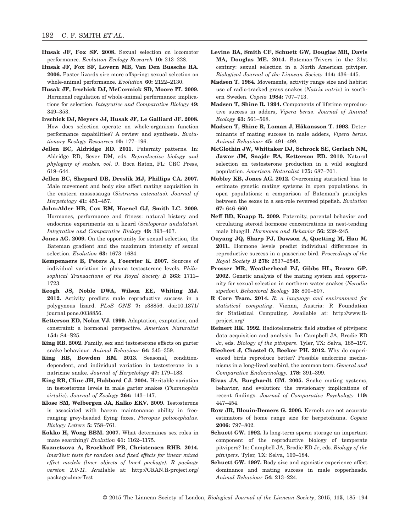- **Husak JF, Fox SF. 2008.** Sexual selection on locomotor performance. *Evolution Ecology Research* **10:** 213–228.
- **Husak JF, Fox SF, Lovern MB, Van Den Bussche RA. 2006.** Faster lizards sire more offspring: sexual selection on whole-animal performance. *Evolution* **60:** 2122–2130.
- **Husak JF, Irschick DJ, McCormick SD, Moore IT. 2009.** Hormonal regulation of whole-animal performance: implications for selection. *Integrative and Comparative Biology* **49:** 349–353.
- **Irschick DJ, Meyers JJ, Husak JF, Le Galliard JF. 2008.** How does selection operate on whole-organism function performance capabilities? A review and synthesis. *Evolutionary Ecology Resources* **10:** 177–196.
- **Jellen BC, Aldridge RD. 2011.** Paternity patterns. In: Aldridge RD, Sever DM, eds. *Reproductive biology and phylogeny of snakes, vol. 9*. Boca Raton, FL: CRC Press, 619–644.
- **Jellen BC, Shepard DB, Dreslik MJ, Phillips CA. 2007.** Male movement and body size affect mating acquisition in the eastern massasauga (*Sistrurus catenatus*). *Journal of Herpetology* **41:** 451–457.
- **John-Alder HB, Cox RM, Haenel GJ, Smith LC. 2009.** Hormones, performance and fitness: natural history and endocrine experiments on a lizard (*Sceloporus undulatus*). *Integrative and Comparative Biology* **49:** 393–407.
- **Jones AG. 2009.** On the opportunity for sexual selection, the Bateman gradient and the maximum intensity of sexual selection. *Evolution* **63:** 1673–1684.
- **Kempenaers B, Peters A, Foerster K. 2007.** Sources of individual variation in plasma testosterone levels. *Philosophical Transactions of the Royal Society B* **363:** 1711– 1723.
- **Keogh JS, Noble DWA, Wilson EE, Whiting MJ. 2012.** Activity predicts male reproductive success in a polygynous lizard. *PLoS ONE* **7:** e38856. doi:10.1371/ journal.pone.0038856.
- **Ketterson ED, Nolan VJ. 1999.** Adaptation, exaptation, and constraint: a hormonal perspective. *American Naturalist* **154:** S4–S25.
- **King RB. 2002.** Family, sex and testosterone effects on garter snake behaviour. *Animal Behaviour* **64:** 345–359.
- **King RB, Bowden RM. 2013.** Seasonal, conditiondependent, and individual variation in testosterone in a natricine snake. *Journal of Herpetology* **47:** 179–183.
- **King RB, Cline JH, Hubbard CJ. 2004.** Heritable variation in testosterone levels in male garter snakes (*Thamnophis sirtalis*). *Journal of Zoology* **264:** 143–147.
- **Klose SM, Welbergen JA, Kalko EKV. 2009.** Testosterone is associated with harem maintenance ability in freeranging grey-headed flying foxes, *Pteropus poliocephalus*. *Biology Letters* **5:** 758–761.
- **Kokko H, Wong BBM. 2007.** What determines sex roles in mate searching? *Evolution* **61:** 1162–1175.
- **Kuznetsova A, Brockhoff PB, Christensen RHB. 2014.** *lmerTest: tests for random and fixed effects for linear mixed effect models (lmer objects of lme4 package). R package version 2.0-11*. Available at: [http://CRAN.R-project.org/](http://CRAN.R-project.org/package=lmerTest) [package=lmerTest](http://CRAN.R-project.org/package=lmerTest)
- **Levine BA, Smith CF, Schuett GW, Douglas MR, Davis MA, Douglas ME. 2014.** Bateman-Trivers in the 21st century: sexual selection in a North American pitviper. *Biological Journal of the Linnean Society* **114:** 436–445.
- **Madsen T. 1984.** Movements, activity range size and habitat use of radio-tracked grass snakes (*Natrix natrix*) in southern Sweden. *Copeia* **1984:** 707–713.
- **Madsen T, Shine R. 1994.** Components of lifetime reproductive success in adders, *Vipera berus*. *Journal of Animal Ecology* **63:** 561–568.
- **Madsen T, Shine R, Loman J, Håkansson T. 1993.** Determinants of mating success in male adders, *Vipera berus*. *Animal Behaviour* **45:** 491–499.
- **McGlothin JW, Whittaker DJ, Schrock SE, Gerlach NM, Jawor JM, Snajdr EA, Ketterson ED. 2010.** Natural selection on testosterone production in a wild songbird population. *American Naturalist* **175:** 687–701.
- **Mobley KB, Jones AG. 2012.** Overcoming statistical bias to estimate genetic mating systems in open populations. in open populations: a comparison of Bateman's principles between the sexes in a sex-role reversed pipefish. *Evolution* **67:** 646–660.
- **Neff BD, Knapp R. 2009.** Paternity, parental behavior and circulating steroid hormone concentrations in nest-tending male bluegill. *Hormones and Behavior* **56:** 239–245.
- **Ouyang JQ, Sharp PJ, Dawson A, Quetting M, Hau M. 2011.** Hormone levels predict individual differences in reproductive success in a passerine bird. *Proceedings of the Royal Society B* **278:** 2537–2545.
- **Prosser MR, Weatherhead PJ, Gibbs HL, Brown GP. 2002.** Genetic analysis of the mating system and opportunity for sexual selection in northern water snakes (*Nerodia sipedon*). *Behavioral Ecology* **13:** 800–807.
- **R Core Team. 2014.** *R: a language and environment for statistical computing*. Vienna, Austria: R Foundation for Statistical Computing. Available at: [http://www.R](http://www.R-project.org/)[project.org/](http://www.R-project.org/)
- **Reinert HK. 1992.** Radiotelemetric field studies of pitvipers: data acquisition and analysis. In: Campbell JA, Brodie ED Jr, eds. *Biology of the pitvipers*. Tyler, TX: Selva, 185–197.
- **Riechert J, Chastel O, Becker PH. 2012.** Why do experienced birds reproduce better? Possible endocrine mechanisms in a long-lived seabird, the common tern. *General and Comparative Endocrinology.* **178:** 391–399.
- **Rivas JA, Burghardt GM. 2005.** Snake mating systems, behavior, and evolution: the revisionary implications of recent findings. *Journal of Comparative Psychology* **119:** 447–454.
- **Row JR, Blouin-Demers G. 2006.** Kernels are not accurate estimators of home range size for herpetofauna. *Copeia* **2006:** 797–802.
- **Schuett GW. 1992.** Is long-term sperm storage an important component of the reproductive biology of temperate pitvipers? In: Campbell JA, Brodie ED Jr, eds. *Biology of the pitvipers*. Tyler, TX: Selva, 169–184.
- **Schuett GW. 1997.** Body size and agonistic experience affect dominance and mating success in male copperheads. *Animal Behaviour* **54:** 213–224.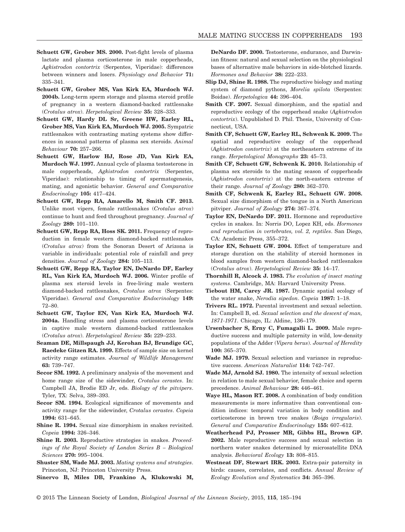- **Schuett GW, Grober MS. 2000.** Post-fight levels of plasma lactate and plasma corticosterone in male copperheads, *Agkistrodon contortrix* (Serpentes, Viperidae): differences between winners and losers. *Physiology and Behavior* **71:** 335–341.
- **Schuett GW, Grober MS, Van Kirk EA, Murdoch WJ. 2004b.** Long-term sperm storage and plasma steroid profile of pregnancy in a western diamond-backed rattlesnake (*Crotalus atrox*). *Herpetological Review* **35:** 328–333.
- **Schuett GW, Hardy DL Sr, Greene HW, Earley RL, Grober MS, Van Kirk EA, Murdoch WJ. 2005.** Sympatric rattlesnakes with contrasting mating systems show differences in seasonal patterns of plasma sex steroids. *Animal Behaviour* **70:** 257–266.
- **Schuett GW, Harlow HJ, Rose JD, Van Kirk EA, Murdoch WJ. 1997.** Annual cycle of plasma testosterone in male copperheads, *Agkistrodon contortrix* (Serpentes, Viperidae): relationship to timing of spermatogenesis, mating, and agonistic behavior. *General and Comparative Endocrinology* **105:** 417–424.
- **Schuett GW, Repp RA, Amarello M, Smith CF. 2013.** Unlike most vipers, female rattlesnakes (*Crotalus atrox*) continue to hunt and feed throughout pregnancy. *Journal of Zoology* **289:** 101–110.
- **Schuett GW, Repp RA, Hoss SK. 2011.** Frequency of reproduction in female western diamond-backed rattlesnakes (*Crotalus atrox*) from the Sonoran Desert of Arizona is variable in individuals: potential role of rainfall and prey densities. *Journal of Zoology* **284:** 105–113.
- **Schuett GW, Repp RA, Taylor EN, DeNardo DF, Earley RL, Van Kirk EA, Murdoch WJ. 2006.** Winter profile of plasma sex steroid levels in free-living male western diamond-backed rattlesnakes, *Crotalus atrox* (Serpentes: Viperidae). *General and Comparative Endocrinology* **149:** 72–80.
- **Schuett GW, Taylor EN, Van Kirk EA, Murdoch WJ. 2004a.** Handling stress and plasma corticosterone levels in captive male western diamond-backed rattlesnakes (*Crotalus atrox*). *Herpetological Review* **35:** 229–233.
- **Seaman DE, Millspaugh JJ, Kerohan BJ, Brundige GC, Raedeke Gitzen RA. 1999.** Effects of sample size on kernel activity range estimates. *Journal of Wildlife Management* **63:** 739–747.
- **Secor SM. 1992.** A preliminary analysis of the movement and home range size of the sidewinder, *Crotalus cerastes*. In: Campbell JA, Brodie ED Jr, eds. *Biology of the pitvipers*. Tyler, TX: Selva, 389–393.
- **Secor SM. 1994.** Ecological significance of movements and activity range for the sidewinder, *Crotalus cerastes*. *Copeia* **1994:** 631–645.
- **Shine R. 1994.** Sexual size dimorphism in snakes revisited. *Copeia* **1994:** 326–346.
- **Shine R. 2003.** Reproductive strategies in snakes. *Proceedings of the Royal Society of London Series B – Biological Sciences* **270:** 995–1004.
- **Shuster SM, Wade MJ. 2003.** *Mating systems and strategies*. Princeton, NJ: Princeton University Press.
- **Sinervo B, Miles DB, Frankino A, Klukowski M,**

**DeNardo DF. 2000.** Testosterone, endurance, and Darwinian fitness: natural and sexual selection on the physiological bases of alternative male behaviors in side-blotched lizards. *Hormones and Behavior* **38:** 222–233.

- **Slip DJ, Shine R. 1988.** The reproductive biology and mating system of diamond pythons, *Morelia spilota* (Serpentes: Boidae). *Herpetologica* **44:** 396–404.
- **Smith CF. 2007.** Sexual dimorphism, and the spatial and reproductive ecology of the copperhead snake (*Agkistrodon contortrix*). Unpublished D. Phil. Thesis, University of Connecticut, USA.
- **Smith CF, Schuett GW, Earley RL, Schwenk K. 2009.** The spatial and reproductive ecology of the copperhead (*Agkistrodon contortrix*) at the northeastern extreme of its range. *Herpetological Monographs* **23:** 45–73.
- **Smith CF, Schuett GW, Schwenk K. 2010.** Relationship of plasma sex steroids to the mating season of copperheads (*Agkistrodon contortrix*) at the north-eastern extreme of their range. *Journal of Zoology* **280:** 362–370.
- **Smith CF, Schwenk K, Earley RL, Schuett GW. 2008.** Sexual size dimorphism of the tongue in a North American pitviper. *Journal of Zoology* **274:** 367–374.
- **Taylor EN, DeNardo DF. 2011.** Hormone and reproductive cycles in snakes. In: Norris DO, Lopez KH, eds. *Hormones and reproduction in vertebrates, vol. 2, reptiles*. San Diego, CA: Academic Press, 355–372.
- **Taylor EN, Schuett GW. 2004.** Effect of temperature and storage duration on the stability of steroid hormones in blood samples from western diamond-backed rattlesnakes (*Crotalus atrox*). *Herpetological Review* **35:** 14–17.
- **Thornhill R, Alcock J. 1983.** *The evolution of insect mating systems*. Cambridge, MA: Harvard University Press.
- **Tiebout HM, Carey JR. 1987.** Dynamic spatial ecology of the water snake, *Nerodia sipedon*. *Copeia* **1987:** 1–18.
- **Trivers RL. 1972.** Parental investment and sexual selection. In: Campbell B, ed. *Sexual selection and the descent of man, 1871-1971*. Chicago, IL: Aldine, 136–179.
- **Ursenbacher S, Erny C, Fumagalli L. 2009.** Male reproductive success and multiple paternity in wild, low-density populations of the Adder (*Vipera berus*). *Journal of Heredity* **100:** 365–370.
- **Wade MJ. 1979.** Sexual selection and variance in reproductive success. *American Naturalist* **114:** 742–747.
- **Wade MJ, Arnold SJ. 1980.** The intensity of sexual selection in relation to male sexual behavior, female choice and sperm precedence. *Animal Behaviour* **28:** 446–461.
- **Waye HL, Mason RT. 2008.** A combination of body condition measurements is more informative than conventional condition indices: temporal variation in body condition and corticosterone in brown tree snakes (*Boiga irregularis*). *General and Comparative Endocrinology* **155:** 607–612.
- **Weatherhead PJ, Prosser MR, Gibbs HL, Brown GP. 2002.** Male reproductive success and sexual selection in northern water snakes determined by microsatellite DNA analysis. *Behavioral Ecology* **13:** 808–815.
- **Westneat DF, Stewart IRK. 2003.** Extra-pair paternity in birds: causes, correlates, and conflicts. *Annual Review of Ecology Evolution and Systematics* **34:** 365–396.